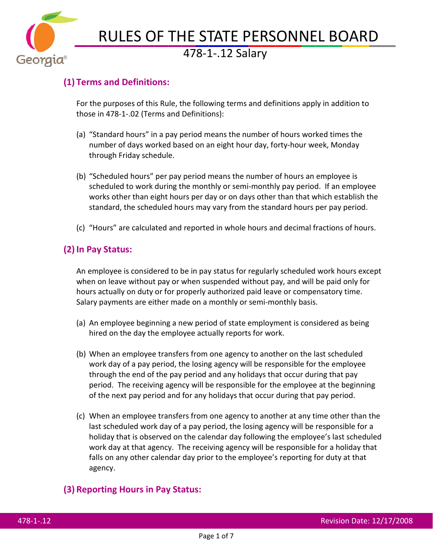

# RULES OF THE STATE PERSONNEL BOARD 478-1-.12 Salary

## **(1) Terms and Definitions:**

For the purposes of this Rule, the following terms and definitions apply in addition to those in 478-1-.02 (Terms and Definitions):

- (a) "Standard hours" in a pay period means the number of hours worked times the number of days worked based on an eight hour day, forty-hour week, Monday through Friday schedule.
- (b) "Scheduled hours" per pay period means the number of hours an employee is scheduled to work during the monthly or semi-monthly pay period. If an employee works other than eight hours per day or on days other than that which establish the standard, the scheduled hours may vary from the standard hours per pay period.
- (c) "Hours" are calculated and reported in whole hours and decimal fractions of hours.

### **(2) In Pay Status:**

An employee is considered to be in pay status for regularly scheduled work hours except when on leave without pay or when suspended without pay, and will be paid only for hours actually on duty or for properly authorized paid leave or compensatory time. Salary payments are either made on a monthly or semi-monthly basis.

- (a) An employee beginning a new period of state employment is considered as being hired on the day the employee actually reports for work.
- (b) When an employee transfers from one agency to another on the last scheduled work day of a pay period, the losing agency will be responsible for the employee through the end of the pay period and any holidays that occur during that pay period. The receiving agency will be responsible for the employee at the beginning of the next pay period and for any holidays that occur during that pay period.
- (c) When an employee transfers from one agency to another at any time other than the last scheduled work day of a pay period, the losing agency will be responsible for a holiday that is observed on the calendar day following the employee's last scheduled work day at that agency. The receiving agency will be responsible for a holiday that falls on any other calendar day prior to the employee's reporting for duty at that agency.

#### **(3) Reporting Hours in Pay Status:**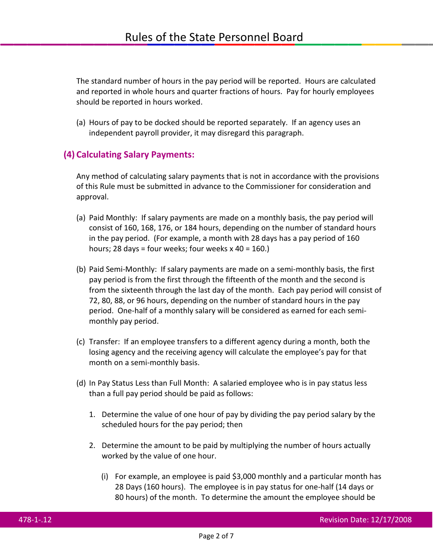The standard number of hours in the pay period will be reported. Hours are calculated and reported in whole hours and quarter fractions of hours. Pay for hourly employees should be reported in hours worked.

(a) Hours of pay to be docked should be reported separately. If an agency uses an independent payroll provider, it may disregard this paragraph.

#### **(4) Calculating Salary Payments:**

Any method of calculating salary payments that is not in accordance with the provisions of this Rule must be submitted in advance to the Commissioner for consideration and approval.

- (a) Paid Monthly: If salary payments are made on a monthly basis, the pay period will consist of 160, 168, 176, or 184 hours, depending on the number of standard hours in the pay period. (For example, a month with 28 days has a pay period of 160 hours; 28 days = four weeks; four weeks  $x$  40 = 160.)
- (b) Paid Semi-Monthly: If salary payments are made on a semi-monthly basis, the first pay period is from the first through the fifteenth of the month and the second is from the sixteenth through the last day of the month. Each pay period will consist of 72, 80, 88, or 96 hours, depending on the number of standard hours in the pay period. One-half of a monthly salary will be considered as earned for each semimonthly pay period.
- (c) Transfer: If an employee transfers to a different agency during a month, both the losing agency and the receiving agency will calculate the employee's pay for that month on a semi-monthly basis.
- (d) In Pay Status Less than Full Month: A salaried employee who is in pay status less than a full pay period should be paid as follows:
	- 1. Determine the value of one hour of pay by dividing the pay period salary by the scheduled hours for the pay period; then
	- 2. Determine the amount to be paid by multiplying the number of hours actually worked by the value of one hour.
		- (i) For example, an employee is paid \$3,000 monthly and a particular month has 28 Days (160 hours). The employee is in pay status for one-half (14 days or 80 hours) of the month. To determine the amount the employee should be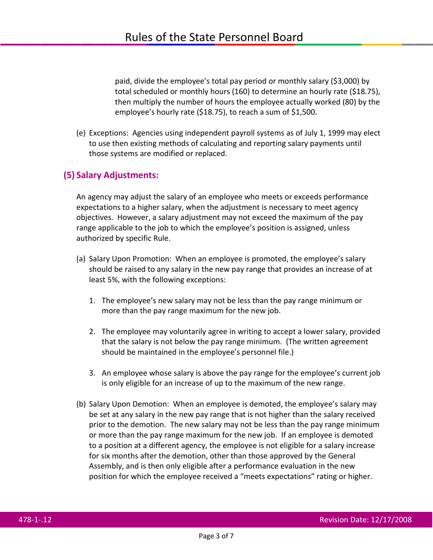paid, divide the employee's total pay period or monthly salary (\$3,000) by total scheduled or monthly hours (160) to determine an hourly rate (\$18.75), then multiply the number of hours the employee actually worked (80) by the employee's hourly rate (\$18.75), to reach a sum of \$1,500.

(e) Exceptions: Agencies using independent payroll systems as of July 1, 1999 may elect to use then existing methods of calculating and reporting salary payments until those systems are modified or replaced.

#### **(5) Salary Adjustments:**

An agency may adjust the salary of an employee who meets or exceeds performance expectations to a higher salary, when the adjustment is necessary to meet agency objectives. However, a salary adjustment may not exceed the maximum of the pay range applicable to the job to which the employee's position is assigned, unless authorized by specific Rule.

- (a) Salary Upon Promotion:When an employee is promoted, the employee's salary should be raised to any salary in the new pay range that provides an increase of at least 5%, with the following exceptions:
	- 1. The employee's new salary may not be less than the pay range minimum or more than the pay range maximum for the new job.
	- 2. The employee may voluntarily agree in writing to accept a lower salary, provided that the salary is not below the pay range minimum. (The written agreement should be maintained in the employee's personnel file.)
	- 3. An employee whose salary is above the pay range for the employee's current job is only eligible for an increase of up to the maximum of the new range.
- (b) Salary Upon Demotion: When an employee is demoted, the employee's salary may be set at any salary in the new pay range that is not higher than the salary received prior to the demotion. The new salary may not be less than the pay range minimum or more than the pay range maximum for the new job. If an employee is demoted to a position at a different agency, the employee is not eligible for a salary increase for six months after the demotion, other than those approved by the General Assembly, and is then only eligible after a performance evaluation in the new position for which the employee received a "meets expectations" rating or higher.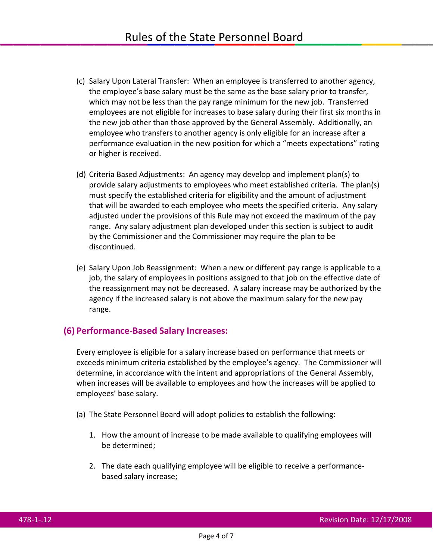- (c) Salary Upon Lateral Transfer: When an employee is transferred to another agency, the employee's base salary must be the same as the base salary prior to transfer, which may not be less than the pay range minimum for the new job. Transferred employees are not eligible for increases to base salary during their first six months in the new job other than those approved by the General Assembly. Additionally, an employee who transfers to another agency is only eligible for an increase after a performance evaluation in the new position for which a "meets expectations" rating or higher is received.
- (d) Criteria Based Adjustments: An agency may develop and implement plan(s) to provide salary adjustments to employees who meet established criteria. The plan(s) must specify the established criteria for eligibility and the amount of adjustment that will be awarded to each employee who meets the specified criteria. Any salary adjusted under the provisions of this Rule may not exceed the maximum of the pay range. Any salary adjustment plan developed under this section is subject to audit by the Commissioner and the Commissioner may require the plan to be discontinued.
- (e) Salary Upon Job Reassignment: When a new or different pay range is applicable to a job, the salary of employees in positions assigned to that job on the effective date of the reassignment may not be decreased. A salary increase may be authorized by the agency if the increased salary is not above the maximum salary for the new pay range.

#### **(6) Performance-Based Salary Increases:**

Every employee is eligible for a salary increase based on performance that meets or exceeds minimum criteria established by the employee's agency. The Commissioner will determine, in accordance with the intent and appropriations of the General Assembly, when increases will be available to employees and how the increases will be applied to employees' base salary.

- (a) The State Personnel Board will adopt policies to establish the following:
	- 1. How the amount of increase to be made available to qualifying employees will be determined;
	- 2. The date each qualifying employee will be eligible to receive a performancebased salary increase;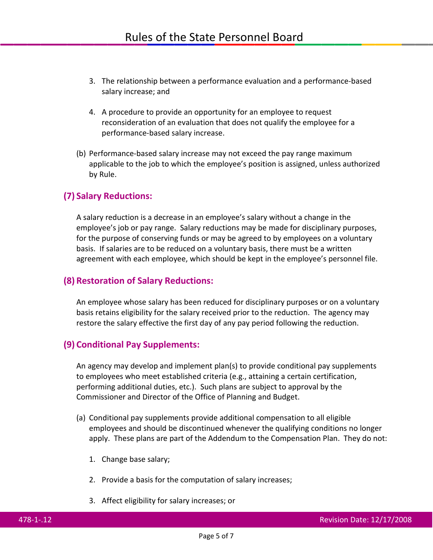- 3. The relationship between a performance evaluation and a performance-based salary increase; and
- 4. A procedure to provide an opportunity for an employee to request reconsideration of an evaluation that does not qualify the employee for a performance-based salary increase.
- (b) Performance-based salary increase may not exceed the pay range maximum applicable to the job to which the employee's position is assigned, unless authorized by Rule.

#### **(7) Salary Reductions:**

A salary reduction is a decrease in an employee's salary without a change in the employee's job or pay range. Salary reductions may be made for disciplinary purposes, for the purpose of conserving funds or may be agreed to by employees on a voluntary basis. If salaries are to be reduced on a voluntary basis, there must be a written agreement with each employee, which should be kept in the employee's personnel file.

#### **(8) Restoration of Salary Reductions:**

An employee whose salary has been reduced for disciplinary purposes or on a voluntary basis retains eligibility for the salary received prior to the reduction. The agency may restore the salary effective the first day of any pay period following the reduction.

#### **(9) Conditional Pay Supplements:**

An agency may develop and implement plan(s) to provide conditional pay supplements to employees who meet established criteria (e.g., attaining a certain certification, performing additional duties, etc.). Such plans are subject to approval by the Commissioner and Director of the Office of Planning and Budget.

- (a) Conditional pay supplements provide additional compensation to all eligible employees and should be discontinued whenever the qualifying conditions no longer apply. These plans are part of the Addendum to the Compensation Plan. They do not:
	- 1. Change base salary;
	- 2. Provide a basis for the computation of salary increases;
	- 3. Affect eligibility for salary increases; or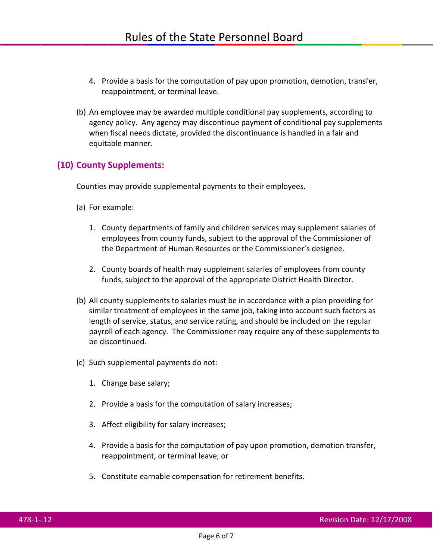- 4. Provide a basis for the computation of pay upon promotion, demotion, transfer, reappointment, or terminal leave.
- (b) An employee may be awarded multiple conditional pay supplements, according to agency policy. Any agency may discontinue payment of conditional pay supplements when fiscal needs dictate, provided the discontinuance is handled in a fair and equitable manner.

#### **(10) County Supplements:**

Counties may provide supplemental payments to their employees.

- (a) For example:
	- 1. County departments of family and children services may supplement salaries of employees from county funds, subject to the approval of the Commissioner of the Department of Human Resources or the Commissioner's designee.
	- 2. County boards of health may supplement salaries of employees from county funds, subject to the approval of the appropriate District Health Director.
- (b) All county supplements to salaries must be in accordance with a plan providing for similar treatment of employees in the same job, taking into account such factors as length of service, status, and service rating, and should be included on the regular payroll of each agency. The Commissioner may require any of these supplements to be discontinued.
- (c) Such supplemental payments do not:
	- 1. Change base salary;
	- 2. Provide a basis for the computation of salary increases;
	- 3. Affect eligibility for salary increases;
	- 4. Provide a basis for the computation of pay upon promotion, demotion transfer, reappointment, or terminal leave; or
	- 5. Constitute earnable compensation for retirement benefits.